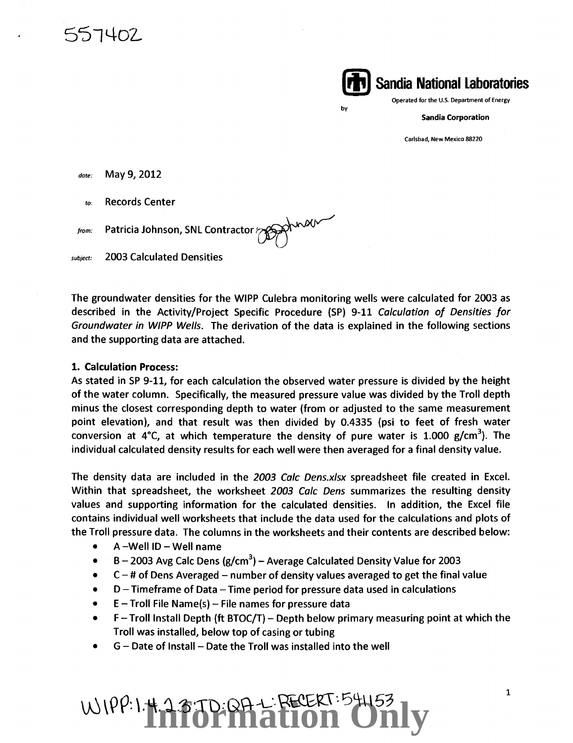557402

**{itt) Sandia National Laboratories** 

Operated for the U.S. Department of Energy

Sandia Corporation

Carlsbad, New Mexico 88220

*date:* May 9, 2012

*to:* Records Center

from: Patricia Johnson, SNL Contractor

subject: 2003 Calculated Densities

The groundwater densities for the WIPP Culebra monitoring wells were calculated for 2003 as described in the Activity/Project Specific Procedure (SP} 9-11 Calculation of Densities for Groundwater in WIPP Wells. The derivation of the data is explained in the following sections and the supporting data are attached.

by

### 1. Calculation Process:

As stated in SP 9-11, for each calculation the observed water pressure is divided by the height of the water column. Specifically, the measured pressure value was divided by the Troll depth minus the closest corresponding depth to water (from or adjusted to the same measurement point elevation}, and that result was then divided by 0.4335 (psi to feet of fresh water conversion at 4°C, at which temperature the density of pure water is 1.000 g/cm<sup>3</sup>). The individual calculated density results for each well were then averaged for a final density value.

The density data are included in the 2003 Calc Dens.xlsx spreadsheet file created in Excel. Within that spreadsheet, the worksheet 2003 Calc Dens summarizes the resulting density values and supporting information for the calculated densities. In addition, the Excel file contains individual well worksheets that include the data used for the calculations and plots of the Troll pressure data. The columns in the worksheets and their contents are described below:

- $A$  -Well ID Well name
- $\bullet$  B 2003 Avg Calc Dens (g/cm<sup>3</sup>) Average Calculated Density Value for 2003
- $C #$  of Dens Averaged number of density values averaged to get the final value
- $D$  Timeframe of Data Time period for pressure data used in calculations
- $\bullet$  E Troll File Name(s) File names for pressure data
- $\bullet$  F Troll Install Depth (ft BTOC/T) Depth below primary measuring point at which the Troll was installed, below top of casing or tubing
- $G$  Date of Install Date the Troll was installed into the well

**ABTD:QA+ RECERT:541**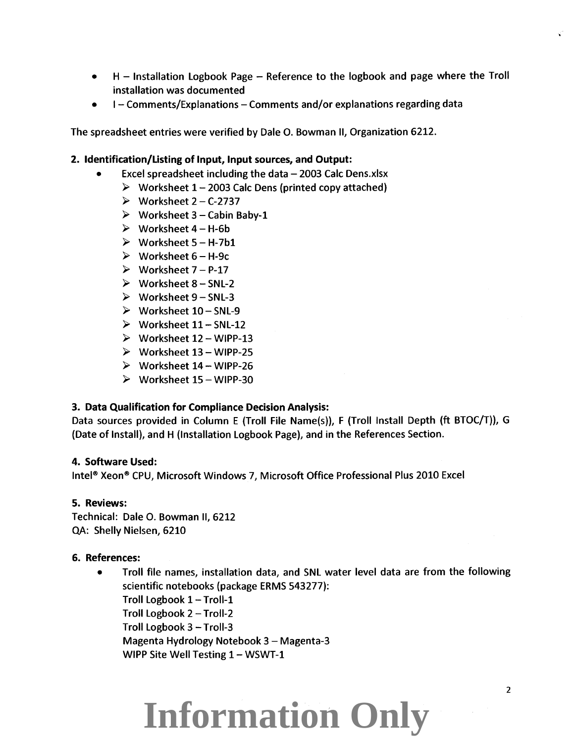- H Installation Logbook Page Reference to the logbook and page where the Troll installation was documented
- I Comments/Explanations Comments and/or explanations regarding data

The spreadsheet entries were verified by Dale 0. Bowman II, Organization 6212.

### 2. Identification/Listing of Input, Input sources, and Output:

- Excel spreadsheet including the data  $-$  2003 Calc Dens.xlsx
	- $\triangleright$  Worksheet 1 2003 Calc Dens (printed copy attached)
	- $\triangleright$  Worksheet 2 C-2737
	- $\triangleright$  Worksheet 3 Cabin Baby-1
	- $\triangleright$  Worksheet 4 H-6b
	- $\triangleright$  Worksheet 5 H-7b1
	- $\triangleright$  Worksheet 6 H-9c
	- $\triangleright$  Worksheet 7 P-17
	- $\triangleright$  Worksheet 8 SNL-2
	- $\triangleright$  Worksheet 9 SNL-3
	- $\triangleright$  Worksheet 10 SNL-9
	- $\triangleright$  Worksheet 11 SNL-12
	- $\triangleright$  Worksheet 12 WIPP-13
	- $\triangleright$  Worksheet 13 WIPP-25
	- $\triangleright$  Worksheet 14 WIPP-26
	- $\triangleright$  Worksheet 15 WIPP-30

### 3. Data Qualification for Compliance Decision Analysis:

Data sources provided in Column E (Troll File Name(s)), F (Troll Install Depth (ft BTOC/T)), G (Date of Install), and H (Installation Logbook Page), and in the References Section.

#### 4. Software Used:

Intel® Xeon® CPU, Microsoft Windows 7, Microsoft Office Professional Plus 2010 Excel

### 5. Reviews:

Technical: Dale 0. Bowman II, 6212 QA: Shelly Nielsen, 6210

### 6. References:

• Troll file names, installation data, and SNL water level data are from the following scientific notebooks (package ERMS 543277): Troll Logbook 1 - Troll-1 Troll Logbook 2- Troll-2 Troll Logbook 3 - Troll-3 Magenta Hydrology Notebook 3- Magenta-3 WIPP Site Well Testing 1 - WSWT-1

### **Information Only**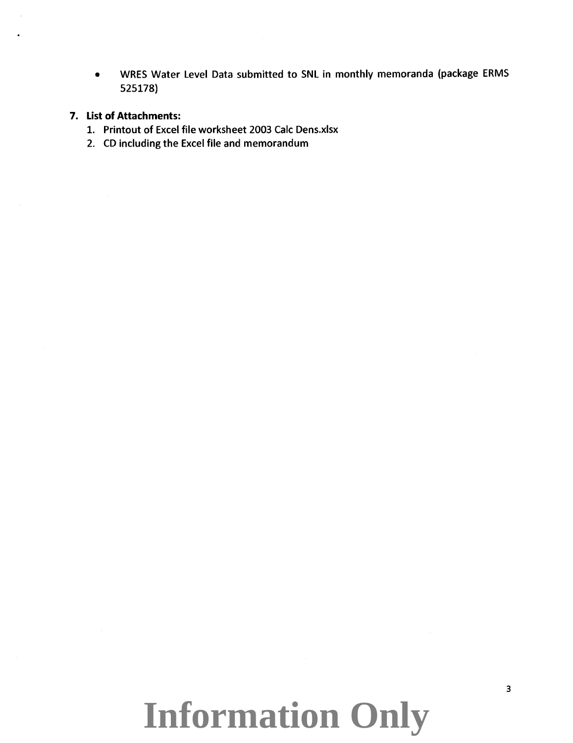• WRES Water Level Data submitted to SNL in monthly memoranda (package ERMS 525178)

### **7. List of Attachments:**

- 1. Printout of Excel file worksheet 2003 Calc Dens.xlsx
- 2. CD including the Excel file and memorandum

## **Information Only**